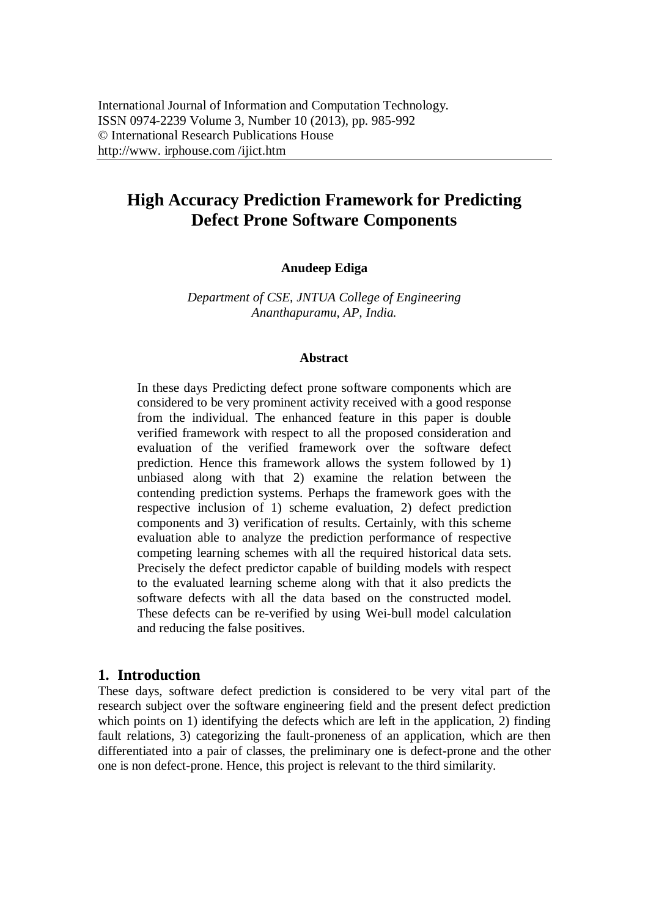# **High Accuracy Prediction Framework for Predicting Defect Prone Software Components**

#### **Anudeep Ediga**

*Department of CSE, JNTUA College of Engineering Ananthapuramu, AP, India.*

#### **Abstract**

In these days Predicting defect prone software components which are considered to be very prominent activity received with a good response from the individual. The enhanced feature in this paper is double verified framework with respect to all the proposed consideration and evaluation of the verified framework over the software defect prediction. Hence this framework allows the system followed by 1) unbiased along with that 2) examine the relation between the contending prediction systems. Perhaps the framework goes with the respective inclusion of 1) scheme evaluation, 2) defect prediction components and 3) verification of results. Certainly, with this scheme evaluation able to analyze the prediction performance of respective competing learning schemes with all the required historical data sets. Precisely the defect predictor capable of building models with respect to the evaluated learning scheme along with that it also predicts the software defects with all the data based on the constructed model. These defects can be re-verified by using Wei-bull model calculation and reducing the false positives.

#### **1. Introduction**

These days, software defect prediction is considered to be very vital part of the research subject over the software engineering field and the present defect prediction which points on 1) identifying the defects which are left in the application, 2) finding fault relations, 3) categorizing the fault-proneness of an application, which are then differentiated into a pair of classes, the preliminary one is defect-prone and the other one is non defect-prone. Hence, this project is relevant to the third similarity.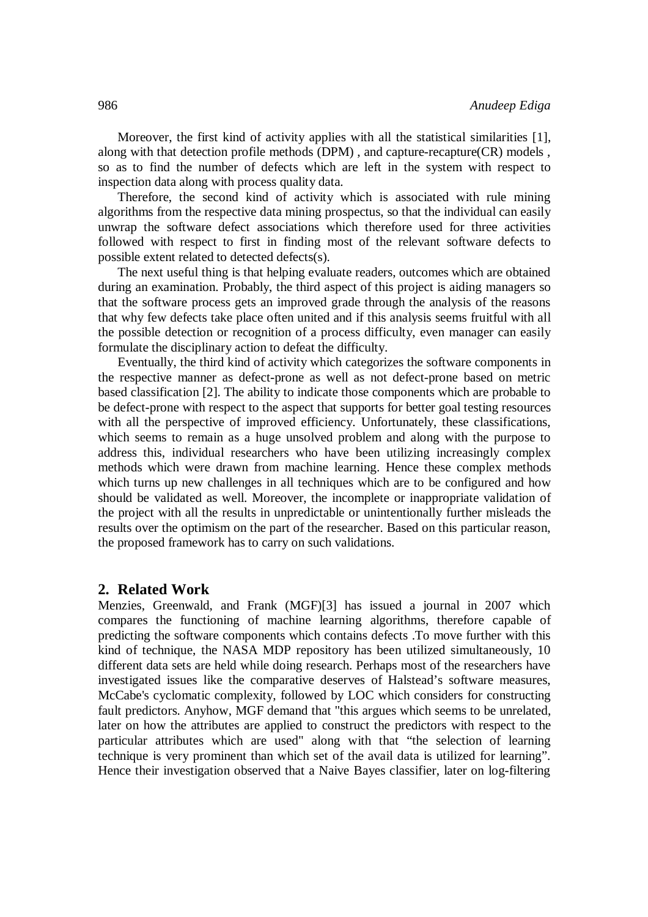Moreover, the first kind of activity applies with all the statistical similarities [1], along with that detection profile methods (DPM) , and capture-recapture(CR) models , so as to find the number of defects which are left in the system with respect to inspection data along with process quality data.

Therefore, the second kind of activity which is associated with rule mining algorithms from the respective data mining prospectus, so that the individual can easily unwrap the software defect associations which therefore used for three activities followed with respect to first in finding most of the relevant software defects to possible extent related to detected defects(s).

The next useful thing is that helping evaluate readers, outcomes which are obtained during an examination. Probably, the third aspect of this project is aiding managers so that the software process gets an improved grade through the analysis of the reasons that why few defects take place often united and if this analysis seems fruitful with all the possible detection or recognition of a process difficulty, even manager can easily formulate the disciplinary action to defeat the difficulty.

Eventually, the third kind of activity which categorizes the software components in the respective manner as defect-prone as well as not defect-prone based on metric based classification [2]. The ability to indicate those components which are probable to be defect-prone with respect to the aspect that supports for better goal testing resources with all the perspective of improved efficiency. Unfortunately, these classifications, which seems to remain as a huge unsolved problem and along with the purpose to address this, individual researchers who have been utilizing increasingly complex methods which were drawn from machine learning. Hence these complex methods which turns up new challenges in all techniques which are to be configured and how should be validated as well. Moreover, the incomplete or inappropriate validation of the project with all the results in unpredictable or unintentionally further misleads the results over the optimism on the part of the researcher. Based on this particular reason, the proposed framework has to carry on such validations.

#### **2. Related Work**

Menzies, Greenwald, and Frank (MGF)[3] has issued a journal in 2007 which compares the functioning of machine learning algorithms, therefore capable of predicting the software components which contains defects .To move further with this kind of technique, the NASA MDP repository has been utilized simultaneously, 10 different data sets are held while doing research. Perhaps most of the researchers have investigated issues like the comparative deserves of Halstead's software measures, McCabe's cyclomatic complexity, followed by LOC which considers for constructing fault predictors. Anyhow, MGF demand that "this argues which seems to be unrelated, later on how the attributes are applied to construct the predictors with respect to the particular attributes which are used" along with that "the selection of learning technique is very prominent than which set of the avail data is utilized for learning". Hence their investigation observed that a Naive Bayes classifier, later on log-filtering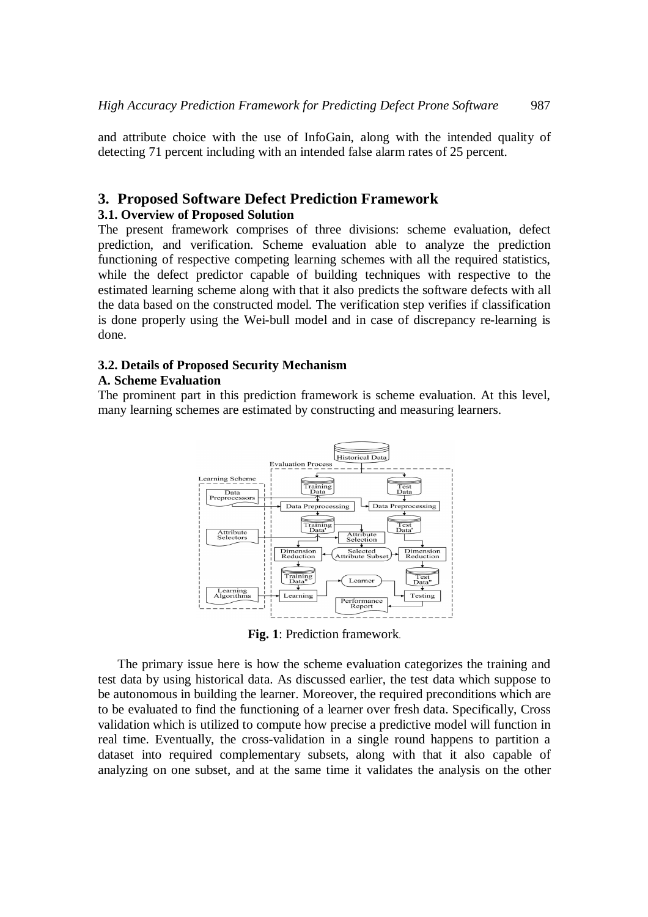and attribute choice with the use of InfoGain, along with the intended quality of detecting 71 percent including with an intended false alarm rates of 25 percent.

#### **3. Proposed Software Defect Prediction Framework**

#### **3.1. Overview of Proposed Solution**

The present framework comprises of three divisions: scheme evaluation, defect prediction, and verification. Scheme evaluation able to analyze the prediction functioning of respective competing learning schemes with all the required statistics, while the defect predictor capable of building techniques with respective to the estimated learning scheme along with that it also predicts the software defects with all the data based on the constructed model. The verification step verifies if classification is done properly using the Wei-bull model and in case of discrepancy re-learning is done.

#### **3.2. Details of Proposed Security Mechanism**

#### **A. Scheme Evaluation**

The prominent part in this prediction framework is scheme evaluation. At this level, many learning schemes are estimated by constructing and measuring learners.



**Fig. 1**: Prediction framework.

The primary issue here is how the scheme evaluation categorizes the training and test data by using historical data. As discussed earlier, the test data which suppose to be autonomous in building the learner. Moreover, the required preconditions which are to be evaluated to find the functioning of a learner over fresh data. Specifically, Cross validation which is utilized to compute how precise a predictive model will function in real time. Eventually, the cross-validation in a single round happens to partition a dataset into required complementary subsets, along with that it also capable of analyzing on one subset, and at the same time it validates the analysis on the other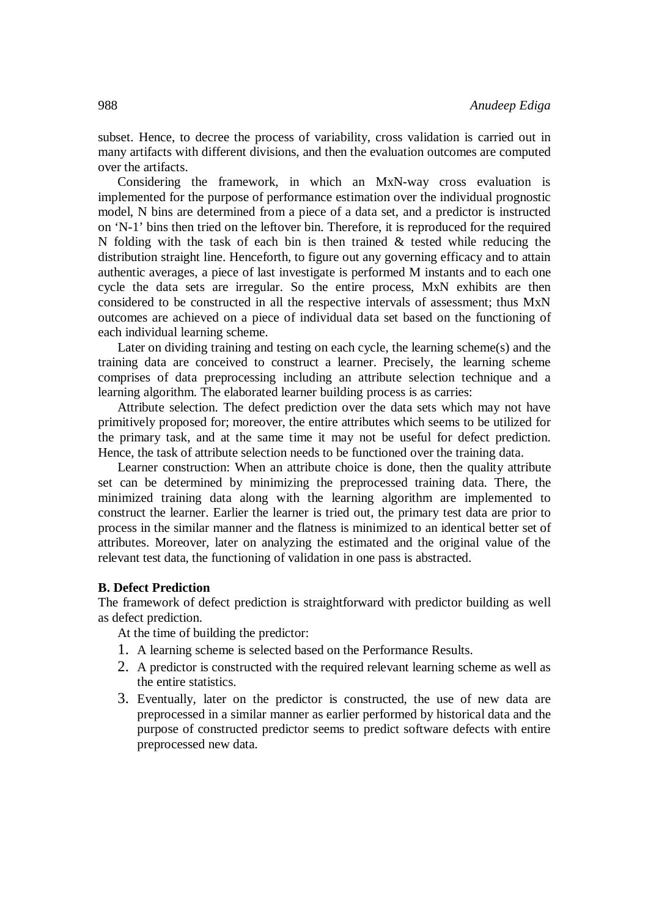subset. Hence, to decree the process of variability, cross validation is carried out in many artifacts with different divisions, and then the evaluation outcomes are computed over the artifacts.

Considering the framework, in which an MxN-way cross evaluation is implemented for the purpose of performance estimation over the individual prognostic model, N bins are determined from a piece of a data set, and a predictor is instructed on 'N-1' bins then tried on the leftover bin. Therefore, it is reproduced for the required N folding with the task of each bin is then trained  $\&$  tested while reducing the distribution straight line. Henceforth, to figure out any governing efficacy and to attain authentic averages, a piece of last investigate is performed M instants and to each one cycle the data sets are irregular. So the entire process, MxN exhibits are then considered to be constructed in all the respective intervals of assessment; thus MxN outcomes are achieved on a piece of individual data set based on the functioning of each individual learning scheme.

Later on dividing training and testing on each cycle, the learning scheme(s) and the training data are conceived to construct a learner. Precisely, the learning scheme comprises of data preprocessing including an attribute selection technique and a learning algorithm. The elaborated learner building process is as carries:

Attribute selection. The defect prediction over the data sets which may not have primitively proposed for; moreover, the entire attributes which seems to be utilized for the primary task, and at the same time it may not be useful for defect prediction. Hence, the task of attribute selection needs to be functioned over the training data.

Learner construction: When an attribute choice is done, then the quality attribute set can be determined by minimizing the preprocessed training data. There, the minimized training data along with the learning algorithm are implemented to construct the learner. Earlier the learner is tried out, the primary test data are prior to process in the similar manner and the flatness is minimized to an identical better set of attributes. Moreover, later on analyzing the estimated and the original value of the relevant test data, the functioning of validation in one pass is abstracted.

#### **B. Defect Prediction**

The framework of defect prediction is straightforward with predictor building as well as defect prediction.

At the time of building the predictor:

- 1. A learning scheme is selected based on the Performance Results.
- 2. A predictor is constructed with the required relevant learning scheme as well as the entire statistics.
- 3. Eventually, later on the predictor is constructed, the use of new data are preprocessed in a similar manner as earlier performed by historical data and the purpose of constructed predictor seems to predict software defects with entire preprocessed new data.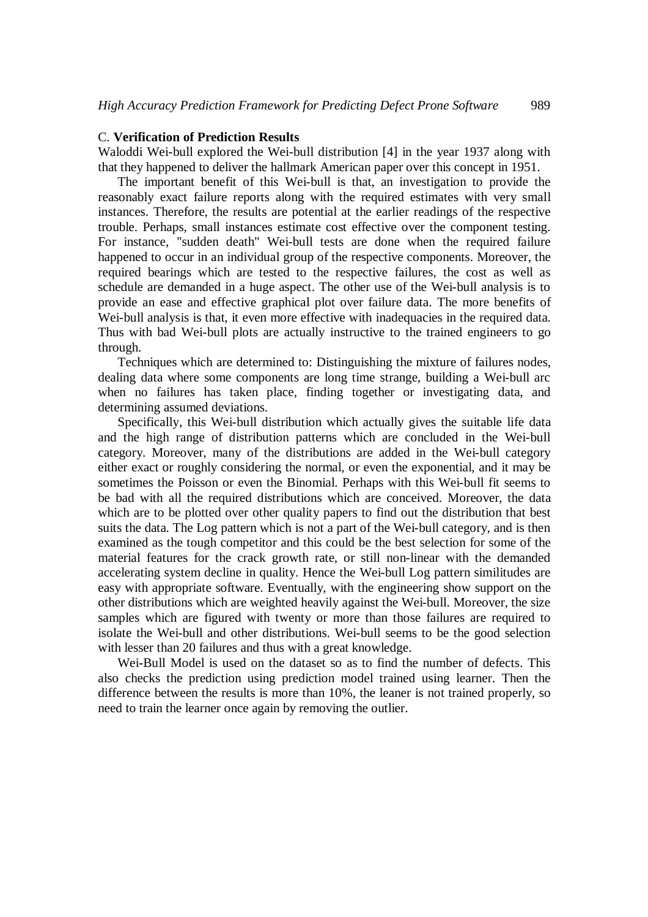#### C. **Verification of Prediction Results**

Waloddi Wei-bull explored the Wei-bull distribution [4] in the year 1937 along with that they happened to deliver the hallmark American paper over this concept in 1951.

The important benefit of this Wei-bull is that, an investigation to provide the reasonably exact failure reports along with the required estimates with very small instances. Therefore, the results are potential at the earlier readings of the respective trouble. Perhaps, small instances estimate cost effective over the component testing. For instance, "sudden death" Wei-bull tests are done when the required failure happened to occur in an individual group of the respective components. Moreover, the required bearings which are tested to the respective failures, the cost as well as schedule are demanded in a huge aspect. The other use of the Wei-bull analysis is to provide an ease and effective graphical plot over failure data. The more benefits of Wei-bull analysis is that, it even more effective with inadequacies in the required data. Thus with bad Wei-bull plots are actually instructive to the trained engineers to go through.

Techniques which are determined to: Distinguishing the mixture of failures nodes, dealing data where some components are long time strange, building a Wei-bull arc when no failures has taken place, finding together or investigating data, and determining assumed deviations.

Specifically, this Wei-bull distribution which actually gives the suitable life data and the high range of distribution patterns which are concluded in the Wei-bull category. Moreover, many of the distributions are added in the Wei-bull category either exact or roughly considering the normal, or even the exponential, and it may be sometimes the Poisson or even the Binomial. Perhaps with this Wei-bull fit seems to be bad with all the required distributions which are conceived. Moreover, the data which are to be plotted over other quality papers to find out the distribution that best suits the data. The Log pattern which is not a part of the Wei-bull category, and is then examined as the tough competitor and this could be the best selection for some of the material features for the crack growth rate, or still non-linear with the demanded accelerating system decline in quality. Hence the Wei-bull Log pattern similitudes are easy with appropriate software. Eventually, with the engineering show support on the other distributions which are weighted heavily against the Wei-bull. Moreover, the size samples which are figured with twenty or more than those failures are required to isolate the Wei-bull and other distributions. Wei-bull seems to be the good selection with lesser than 20 failures and thus with a great knowledge.

Wei-Bull Model is used on the dataset so as to find the number of defects. This also checks the prediction using prediction model trained using learner. Then the difference between the results is more than 10%, the leaner is not trained properly, so need to train the learner once again by removing the outlier.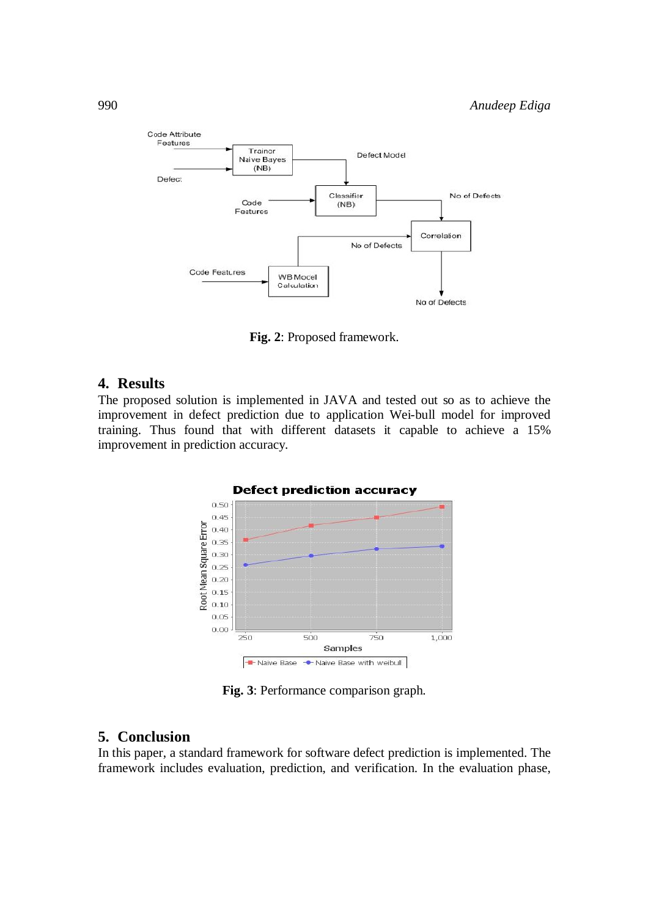

**Fig. 2**: Proposed framework.

#### **4. Results**

The proposed solution is implemented in JAVA and tested out so as to achieve the improvement in defect prediction due to application Wei-bull model for improved training. Thus found that with different datasets it capable to achieve a 15% improvement in prediction accuracy.



**Fig. 3**: Performance comparison graph.

### **5. Conclusion**

In this paper, a standard framework for software defect prediction is implemented. The framework includes evaluation, prediction, and verification. In the evaluation phase,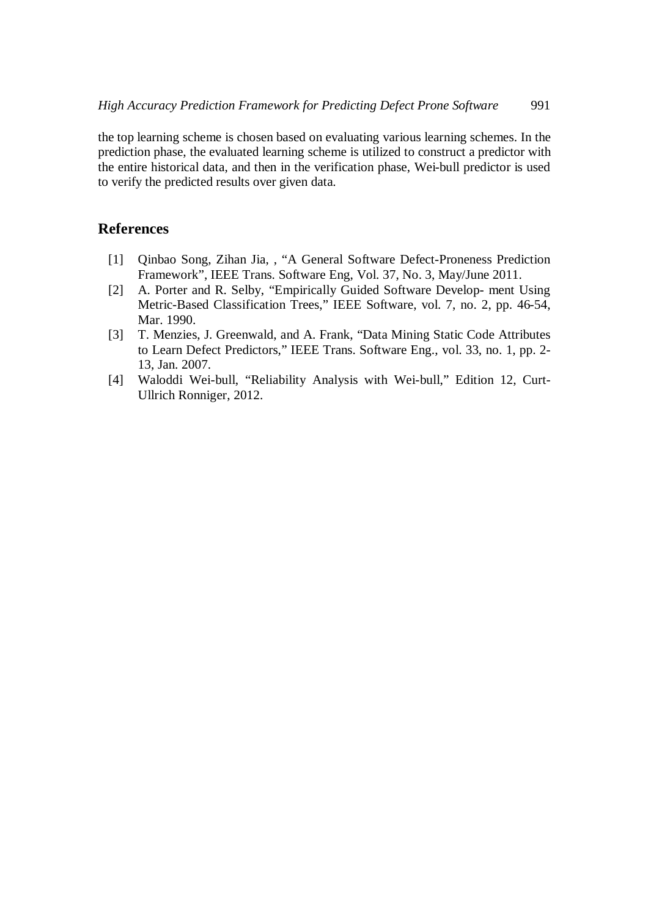the top learning scheme is chosen based on evaluating various learning schemes. In the prediction phase, the evaluated learning scheme is utilized to construct a predictor with the entire historical data, and then in the verification phase, Wei-bull predictor is used to verify the predicted results over given data.

## **References**

- [1] Qinbao Song, Zihan Jia, , "A General Software Defect-Proneness Prediction Framework", IEEE Trans. Software Eng, Vol. 37, No. 3, May/June 2011.
- [2] A. Porter and R. Selby, "Empirically Guided Software Develop- ment Using Metric-Based Classification Trees," IEEE Software, vol. 7, no. 2, pp. 46-54, Mar. 1990.
- [3] T. Menzies, J. Greenwald, and A. Frank, "Data Mining Static Code Attributes to Learn Defect Predictors," IEEE Trans. Software Eng., vol. 33, no. 1, pp. 2- 13, Jan. 2007.
- [4] Waloddi Wei-bull, "Reliability Analysis with Wei-bull," Edition 12, Curt-Ullrich Ronniger, 2012.